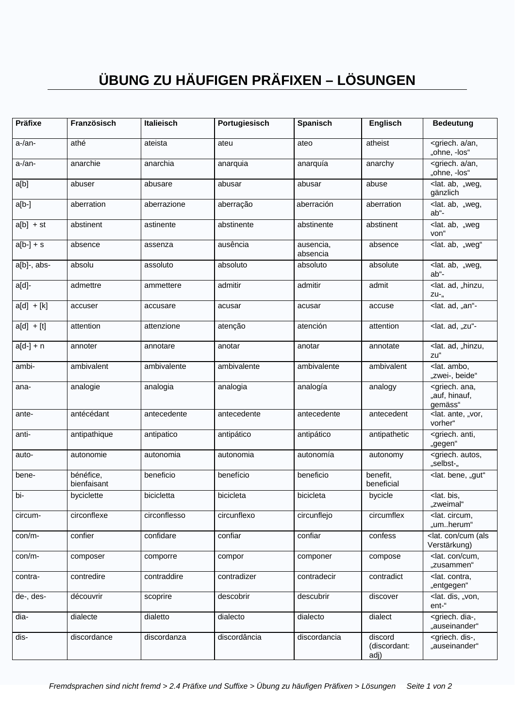## ÜBUNG ZU HÄUFIGEN PRÄFIXEN - LÖSUNGEN

| Präfixe      | Französisch              | <b>Italieisch</b> | Portugiesisch | Spanisch              | <b>Englisch</b>                 | <b>Bedeutung</b>                                        |
|--------------|--------------------------|-------------------|---------------|-----------------------|---------------------------------|---------------------------------------------------------|
| a-/an-       | athé                     | ateista           | ateu          | ateo                  | atheist                         | <griech. a="" an,<br="">"ohne, -los"</griech.>          |
| a-/an-       | anarchie                 | anarchia          | anarquia      | anarquía              | anarchy                         | <griech. a="" an,<br="">"ohne, -los"</griech.>          |
| a[b]         | abuser                   | abusare           | abusar        | abusar                | abuse                           | <lat. "weg,<br="" ab,="">gänzlich</lat.>                |
| a[b.]        | aberration               | aberrazione       | aberração     | aberración            | aberration                      | <lat. "weg,<br="" ab,="">ab"-</lat.>                    |
| $a[b]$ + st  | abstinent                | astinente         | abstinente    | abstinente            | abstinent                       | <lat. "weg<br="" ab,="">von"</lat.>                     |
| $a[b-]+s$    | absence                  | assenza           | ausência      | ausencia,<br>absencia | absence                         | <lat. "weg"<="" ab,="" td=""></lat.>                    |
| a[b]-, abs-  | absolu                   | assoluto          | absoluto      | absoluto              | absolute                        | <lat. "weg,<br="" ab,="">ab"-</lat.>                    |
| a[d]-        | admettre                 | ammettere         | admitir       | admitir               | admit                           | <lat. "hinzu,<br="" ad,="">ZU-"</lat.>                  |
| $a[d] + [k]$ | accuser                  | accusare          | acusar        | acusar                | accuse                          | <lat. "an"-<="" ad,="" td=""></lat.>                    |
| $a[d] + [t]$ | attention                | attenzione        | atenção       | atención              | attention                       | <lat. "zu"-<="" ad,="" td=""></lat.>                    |
| $a[d-]+n$    | annoter                  | annotare          | anotar        | anotar                | annotate                        | <lat. "hinzu,<br="" ad,="">zu"</lat.>                   |
| ambi-        | ambivalent               | ambivalente       | ambivalente   | ambivalente           | ambivalent                      | <lat. ambo,<br="">"zwei-, beide"</lat.>                 |
| ana-         | analogie                 | analogia          | analogia      | analogía              | analogy                         | <griech. ana,<br="">"auf, hinauf,<br/>gemäss"</griech.> |
| ante-        | antécédant               | antecedente       | antecedente   | antecedente           | antecedent                      | <lat. "vor,<br="" ante,="">vorher"</lat.>               |
| anti-        | antipathique             | antipatico        | antipático    | antipático            | antipathetic                    | <griech. anti,<br="">"gegen"</griech.>                  |
| auto-        | autonomie                | autonomia         | autonomia     | autonomía             | autonomy                        | <griech. autos,<br="">"selbst-"</griech.>               |
| bene-        | bénéfice,<br>bienfaisant | beneficio         | benefício     | beneficio             | benefit,<br>beneficial          | <lat. "gut"<="" bene,="" td=""></lat.>                  |
| bi-          | byciclette               | bicicletta        | bicicleta     | bicicleta             | bycicle                         | <lat. bis,<br="">"zweimal"</lat.>                       |
| circum-      | circonflexe              | circonflesso      | circunflexo   | circunflejo           | circumflex                      | <lat. circum,<br="">"umherum"</lat.>                    |
| con/m-       | confier                  | confidare         | confiar       | confiar               | confess                         | <lat. (als<br="" con="" cum="">Verstärkung)</lat.>      |
| con/m-       | composer                 | comporre          | compor        | componer              | compose                         | <lat. con="" cum,<br="">"zusammen"</lat.>               |
| contra-      | contredire               | contraddire       | contradizer   | contradecir           | contradict                      | <lat. contra.<br="">"entgegen"</lat.>                   |
| de-, des-    | découvrir                | scoprire          | descobrir     | descubrir             | discover                        | <lat. "von,<br="" dis,="">ent-"</lat.>                  |
| dia-         | dialecte                 | dialetto          | dialecto      | dialecto              | dialect                         | <griech. dia-,<br="">"auseinander"</griech.>            |
| dis-         | discordance              | discordanza       | discordância  | discordancia          | discord<br>(discordant:<br>adj) | <griech. dis-,<br="">"auseinander"</griech.>            |